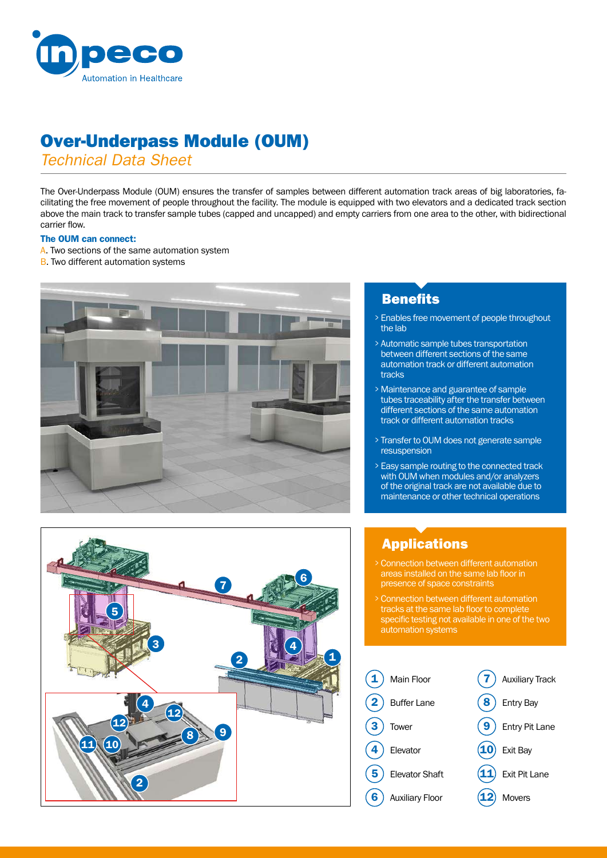

# Over-Underpass Module (OUM)

*Technical Data Sheet*

The Over-Underpass Module (OUM) ensures the transfer of samples between different automation track areas of big laboratories, facilitating the free movement of people throughout the facility. The module is equipped with two elevators and a dedicated track section above the main track to transfer sample tubes (capped and uncapped) and empty carriers from one area to the other, with bidirectional carrier flow.

### The OUM can connect:

- A. Two sections of the same automation system
- **B.** Two different automation systems



# **Benefits**

- <sup>&</sup>gt; Enables free movement of people throughout the lab
- <sup>&</sup>gt; Automatic sample tubes transportation between different sections of the same automation track or different automation tracks
- <sup>&</sup>gt; Maintenance and guarantee of sample tubes traceability after the transfer between different sections of the same automation track or different automation tracks
- <sup>&</sup>gt; Transfer to OUM does not generate sample resuspension
- <sup>&</sup>gt; Easy sample routing to the connected track with OUM when modules and/or analyzers of the original track are not available due to maintenance or other technical operations



# Applications

- <sup>&</sup>gt; Connection between different automation areas installed on the same lab floor in presence of space constraints
- <sup>&</sup>gt; Connection between different automation tracks at the same lab floor to complete specific testing not available in one of the two automation systems